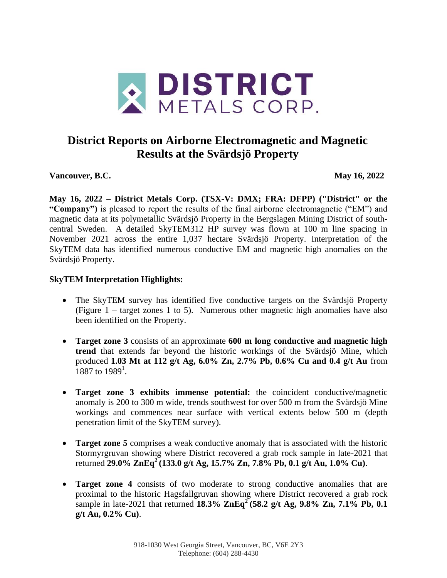

# **District Reports on Airborne Electromagnetic and Magnetic Results at the Svärdsjö Property**

**Vancouver, B.C. May 16, 2022**

**May 16, 2022 – District Metals Corp. (TSX-V: DMX; FRA: DFPP) ("District" or the "Company")** is pleased to report the results of the final airborne electromagnetic ("EM") and magnetic data at its polymetallic Svärdsjö Property in the Bergslagen Mining District of southcentral Sweden. A detailed SkyTEM312 HP survey was flown at 100 m line spacing in November 2021 across the entire 1,037 hectare Svärdsjö Property. Interpretation of the SkyTEM data has identified numerous conductive EM and magnetic high anomalies on the Svärdsjö Property.

## **SkyTEM Interpretation Highlights:**

- The SkyTEM survey has identified five conductive targets on the Svärdsjö Property (Figure  $1 - \text{target zones} 1$  to 5). Numerous other magnetic high anomalies have also been identified on the Property.
- **Target zone 3** consists of an approximate **600 m long conductive and magnetic high trend** that extends far beyond the historic workings of the Svärdsjö Mine, which produced **1.03 Mt at 112 g/t Ag, 6.0% Zn, 2.7% Pb, 0.6% Cu and 0.4 g/t Au** from  $1887$  to  $1989^1$ .
- **Target zone 3 exhibits immense potential:** the coincident conductive/magnetic anomaly is 200 to 300 m wide, trends southwest for over 500 m from the Svärdsjö Mine workings and commences near surface with vertical extents below 500 m (depth penetration limit of the SkyTEM survey).
- **Target zone 5** comprises a weak conductive anomaly that is associated with the historic Stormyrgruvan showing where District recovered a grab rock sample in late-2021 that returned **29.0% ZnEq<sup>2</sup>(133.0 g/t Ag, 15.7% Zn, 7.8% Pb, 0.1 g/t Au, 1.0% Cu)**.
- **Target zone 4** consists of two moderate to strong conductive anomalies that are proximal to the historic Hagsfallgruvan showing where District recovered a grab rock sample in late-2021 that returned **18.3% ZnEq<sup>2</sup> (58.2 g/t Ag, 9.8% Zn, 7.1% Pb, 0.1 g/t Au, 0.2% Cu)**.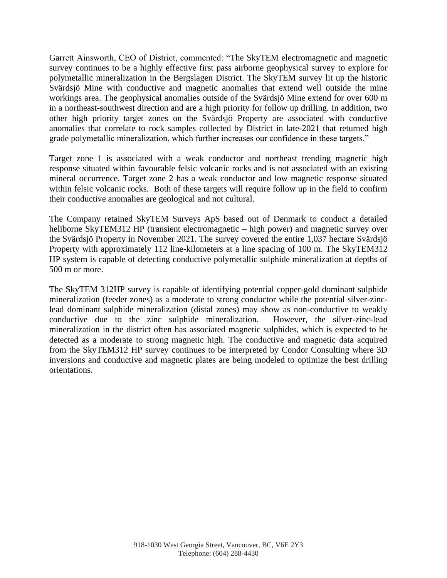Garrett Ainsworth, CEO of District, commented: "The SkyTEM electromagnetic and magnetic survey continues to be a highly effective first pass airborne geophysical survey to explore for polymetallic mineralization in the Bergslagen District. The SkyTEM survey lit up the historic Svärdsjö Mine with conductive and magnetic anomalies that extend well outside the mine workings area. The geophysical anomalies outside of the Svärdsjö Mine extend for over 600 m in a northeast-southwest direction and are a high priority for follow up drilling. In addition, two other high priority target zones on the Svärdsjö Property are associated with conductive anomalies that correlate to rock samples collected by District in late-2021 that returned high grade polymetallic mineralization, which further increases our confidence in these targets."

Target zone 1 is associated with a weak conductor and northeast trending magnetic high response situated within favourable felsic volcanic rocks and is not associated with an existing mineral occurrence. Target zone 2 has a weak conductor and low magnetic response situated within felsic volcanic rocks. Both of these targets will require follow up in the field to confirm their conductive anomalies are geological and not cultural.

The Company retained SkyTEM Surveys ApS based out of Denmark to conduct a detailed heliborne SkyTEM312 HP (transient electromagnetic – high power) and magnetic survey over the Svärdsjö Property in November 2021. The survey covered the entire 1,037 hectare Svärdsjö Property with approximately 112 line-kilometers at a line spacing of 100 m. The SkyTEM312 HP system is capable of detecting conductive polymetallic sulphide mineralization at depths of 500 m or more.

The SkyTEM 312HP survey is capable of identifying potential copper-gold dominant sulphide mineralization (feeder zones) as a moderate to strong conductor while the potential silver-zinclead dominant sulphide mineralization (distal zones) may show as non-conductive to weakly conductive due to the zinc sulphide mineralization. However, the silver-zinc-lead mineralization in the district often has associated magnetic sulphides, which is expected to be detected as a moderate to strong magnetic high. The conductive and magnetic data acquired from the SkyTEM312 HP survey continues to be interpreted by Condor Consulting where 3D inversions and conductive and magnetic plates are being modeled to optimize the best drilling orientations.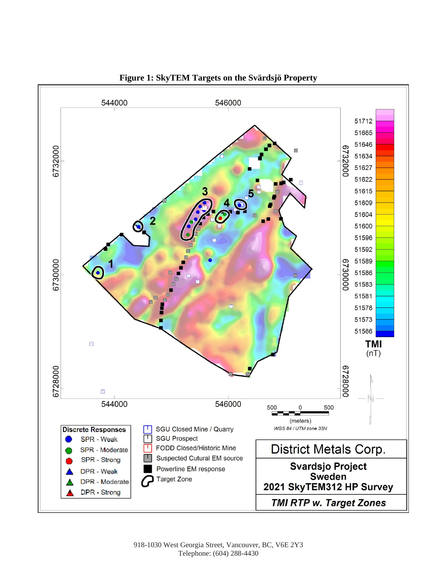

**Figure 1: SkyTEM Targets on the Svärdsjö Property**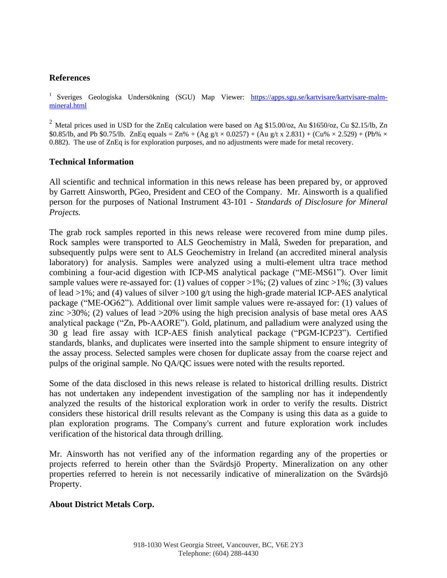### **References**

<sup>1</sup> Sveriges Geologiska Undersökning (SGU) Map Viewer: [https://apps.sgu.se/kartvisare/kartvisare-malm](https://apps.sgu.se/kartvisare/kartvisare-malm-mineral.html)[mineral.html](https://apps.sgu.se/kartvisare/kartvisare-malm-mineral.html) 

<sup>2</sup> Metal prices used in USD for the ZnEq calculation were based on Ag \$15.00/oz, Au \$1650/oz, Cu \$2.15/lb, Zn \$0.85/lb, and Pb \$0.75/lb. ZnEq equals = Zn% + (Ag g/t  $\times$  0.0257) + (Au g/t x 2.831) + (Cu%  $\times$  2.529) + (Pb%  $\times$ 0.882). The use of ZnEq is for exploration purposes, and no adjustments were made for metal recovery.

### **Technical Information**

All scientific and technical information in this news release has been prepared by, or approved by Garrett Ainsworth, PGeo, President and CEO of the Company. Mr. Ainsworth is a qualified person for the purposes of National Instrument 43-101 - *Standards of Disclosure for Mineral Projects.*

The grab rock samples reported in this news release were recovered from mine dump piles. Rock samples were transported to ALS Geochemistry in Malå, Sweden for preparation, and subsequently pulps were sent to ALS Geochemistry in Ireland (an accredited mineral analysis laboratory) for analysis. Samples were analyzed using a multi-element ultra trace method combining a four-acid digestion with ICP-MS analytical package ("ME-MS61"). Over limit sample values were re-assayed for: (1) values of copper  $>1\%$ ; (2) values of zinc  $>1\%$ ; (3) values of lead  $>1\%$ ; and (4) values of silver  $>100$  g/t using the high-grade material ICP-AES analytical package ("ME-OG62"). Additional over limit sample values were re-assayed for: (1) values of zinc >30%; (2) values of lead >20% using the high precision analysis of base metal ores AAS analytical package ("Zn, Pb-AAORE"). Gold, platinum, and palladium were analyzed using the 30 g lead fire assay with ICP-AES finish analytical package ("PGM-ICP23"). Certified standards, blanks, and duplicates were inserted into the sample shipment to ensure integrity of the assay process. Selected samples were chosen for duplicate assay from the coarse reject and pulps of the original sample. No QA/QC issues were noted with the results reported.

Some of the data disclosed in this news release is related to historical drilling results. District has not undertaken any independent investigation of the sampling nor has it independently analyzed the results of the historical exploration work in order to verify the results. District considers these historical drill results relevant as the Company is using this data as a guide to plan exploration programs. The Company's current and future exploration work includes verification of the historical data through drilling.

Mr. Ainsworth has not verified any of the information regarding any of the properties or projects referred to herein other than the Svärdsjö Property. Mineralization on any other properties referred to herein is not necessarily indicative of mineralization on the Svärdsjö Property.

### **About District Metals Corp.**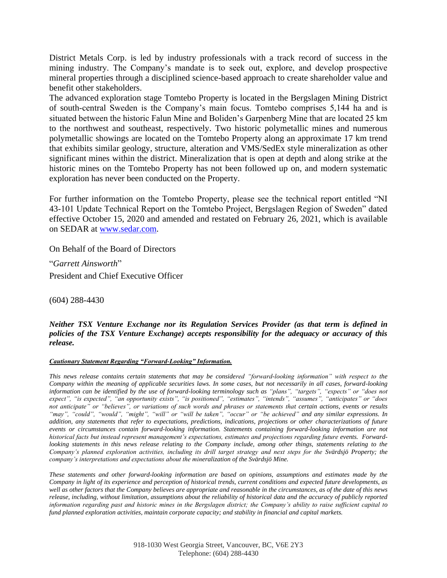District Metals Corp. is led by industry professionals with a track record of success in the mining industry. The Company's mandate is to seek out, explore, and develop prospective mineral properties through a disciplined science-based approach to create shareholder value and benefit other stakeholders.

The advanced exploration stage Tomtebo Property is located in the Bergslagen Mining District of south-central Sweden is the Company's main focus. Tomtebo comprises 5,144 ha and is situated between the historic Falun Mine and Boliden's Garpenberg Mine that are located 25 km to the northwest and southeast, respectively. Two historic polymetallic mines and numerous polymetallic showings are located on the Tomtebo Property along an approximate 17 km trend that exhibits similar geology, structure, alteration and VMS/SedEx style mineralization as other significant mines within the district. Mineralization that is open at depth and along strike at the historic mines on the Tomtebo Property has not been followed up on, and modern systematic exploration has never been conducted on the Property.

For further information on the Tomtebo Property, please see the technical report entitled "NI 43-101 Update Technical Report on the Tomtebo Project, Bergslagen Region of Sweden" dated effective October 15, 2020 and amended and restated on February 26, 2021, which is available on SEDAR at [www.sedar.com.](http://www.sedar.com/)

On Behalf of the Board of Directors

"*Garrett Ainsworth*" President and Chief Executive Officer

(604) 288-4430

*Neither TSX Venture Exchange nor its Regulation Services Provider (as that term is defined in policies of the TSX Venture Exchange) accepts responsibility for the adequacy or accuracy of this release.*

#### *Cautionary Statement Regarding "Forward-Looking" Information.*

*This news release contains certain statements that may be considered "forward-looking information" with respect to the Company within the meaning of applicable securities laws. In some cases, but not necessarily in all cases, forward-looking information can be identified by the use of forward-looking terminology such as "plans", "targets", "expects" or "does not expect", "is expected", "an opportunity exists", "is positioned", "estimates", "intends", "assumes", "anticipates" or "does not anticipate" or "believes", or variations of such words and phrases or statements that certain actions, events or results "may", "could", "would", "might", "will" or "will be taken", "occur" or "be achieved" and any similar expressions. In addition, any statements that refer to expectations, predictions, indications, projections or other characterizations of future events or circumstances contain forward-looking information. Statements containing forward-looking information are not historical facts but instead represent management's expectations, estimates and projections regarding future events. Forwardlooking statements in this news release relating to the Company include, among other things, statements relating to the Company's planned exploration activities, including its drill target strategy and next steps for the Svärdsjö Property; the company's interpretations and expectations about the mineralization of the Svärdsjö Mine.*

*These statements and other forward-looking information are based on opinions, assumptions and estimates made by the Company in light of its experience and perception of historical trends, current conditions and expected future developments, as well as other factors that the Company believes are appropriate and reasonable in the circumstances, as of the date of this news release, including, without limitation, assumptions about the reliability of historical data and the accuracy of publicly reported information regarding past and historic mines in the Bergslagen district; the Company's ability to raise sufficient capital to fund planned exploration activities, maintain corporate capacity; and stability in financial and capital markets.*